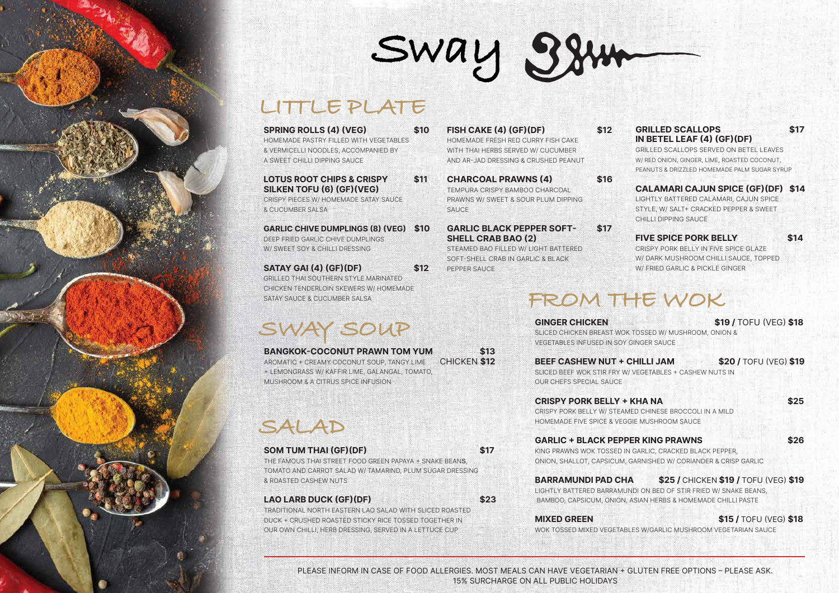# **LITTLE PLATE**

- **SPRING ROLLS (4) (VEG) \$10** HOMEMADE PASTRY FILLED WITH VEGETABLES & VERMICELLI NOODLES, ACCOMPANIED BY A SWEET CHILLI DIPPING SAUCE **LOTUS ROOT CHIPS & CRISPY \$11 SILKEN TOFU (6) (GF)(VEG)** CRISPY PIECES W/ HOMEMADE SATAY SAUCE & CUCUMBER SALSA
- **GARLIC CHIVE DUMPLINGS (8) (VEG) \$10**  DEEP FRIED GARLIC CHIVE DUMPLINGS W/ SWEET SOY & CHILLI DRESSING

**SATAY GAI (4) (GF)(DF) \$12** GRILLED THAI SOUTHERN STYLE MARINATED CHICKEN TENDERLOIN SKEWERS W/ HOMEMADE SATAY SAUCE & CUCUMBER SALSA

## GRILLED SCALLOPS \$17 **IN BETEL LEAF (4) (GF)(DF)**

**FISH CAKE (4) (GF)(DF) \$12** HOMEMADE FRESH RED CURRY FISH CAKE WITH THAI HERBS SERVED W/ CUCUMBER AND AR-JAD DRESSING & CRUSHED PEANUT

Sway 384

- **CHARCOAL PRAWNS (4) \$16** TEMPURA CRISPY BAMBOO CHARCOAL PRAWNS W/ SWEET & SOUR PLUM DIPPING **SAUCE** 
	- **GARLIC BLACK PEPPER SOFT- \$17 SHELL CRAB BAO (2)**

STEAMED BAO FILLED W/ LIGHT BATTERED SOFT-SHELL CRAB IN GARLIC & BLACK PEPPER SAUCE

GRILLED SCALLOPS SERVED ON BETEL LEAVES W/ RED ONION, GINGER, LIME, ROASTED COCONUT, PEANUTS & DRIZZLED HOMEMADE PALM SUGAR SYRUP

## **CALAMARI CAJUN SPICE (GF)(DF) \$14**

**BEEF CASHEW NUT + CHILLI JAM \$20 / TOFU (VEG) \$19** SLICED BEEF WOK STIR FRY W/ VEGETABLES + CASHEW NUTS IN

LIGHTLY BATTERED CALAMARI, CAJUN SPICE STYLE, W/ SALT+ CRACKED PEPPER & SWEET CHILLI DIPPING SAUCE

### **FIVE SPICE PORK BELLY \$14**

CRISPY PORK BELLY IN FIVE SPICE GLAZE W/ DARK MUSHROOM CHILLI SAUCE, TOPPED W/ FRIED GARLIC & PICKLE GINGER

## **MIXED GREEN \$15 / TOFU (VEG) \$18**

PLEASE INFORM IN CASE OF FOOD ALLERGIES. MOST MEALS CAN HAVE VEGETARIAN + GLUTEN FREE OPTIONS – PLEASE ASK. 15% SURCHARGE ON ALL PUBLIC HOLIDAYS

# **SWAY SOUP**

THE FAMOUS THAI STREET FOOD GREEN PAPAYA + SNAKE BEANS, TOMATO AND CARROT SALAD W/ TAMARIND, PLUM SUGAR DRESSING & ROASTED CASHEW NUTS

### LAO LARB DUCK (GF)(DF) \$23

TRADITIONAL NORTH EASTERN LAO SALAD WITH SLICED ROASTED DUCK + CRUSHED ROASTED STICKY RICE TOSSED TOGETHER IN OUR OWN CHILLI, HERB DRESSING, SERVED IN A LETTUCE CUP

# **SALAD**

### **SOM TUM THAI (GF)(DF) \$17**

**GINGER CHICKEN \$19 /** TOFU (VEG) **\$18** SLICED CHICKEN BREAST WOK TOSSED W/ MUSHROOM, ONION & VEGETABLES INFUSED IN SOY GINGER SAUCE

**BANGKOK-COCONUT PRAWN TOM YUM \$13** AROMATIC + CREAMY COCONUT SOUP, TANGY LIME + LEMONGRASS W/ KAFFIR LIME, GALANGAL, TOMATO, MUSHROOM & A CITRUS SPICE INFUSION CHICKEN **\$12**

OUR CHEFS SPECIAL SAUCE

**CRISPY PORK BELLY + KHA NA \$25** CRISPY PORK BELLY W/ STEAMED CHINESE BROCCOLI IN A MILD HOMEMADE FIVE SPICE & VEGGIE MUSHROOM SAUCE

**GARLIC + BLACK PEPPER KING PRAWNS \$26** KING PRAWNS WOK TOSSED IN GARLIC, CRACKED BLACK PEPPER, ONION, SHALLOT, CAPSICUM, GARNISHED W/ CORIANDER & CRISP GARLIC

**BARRAMUNDI PAD CHA \$25 /** CHICKEN **\$19 /** TOFU (VEG) **\$19** LIGHTLY BATTERED BARRAMUNDI ON BED OF STIR FRIED W/ SNAKE BEANS, BAMBOO, CAPSICUM, ONION, ASIAN HERBS & HOMEMADE CHILLI PASTE

WOK TOSSED MIXED VEGETABLES W/GARLIC MUSHROOM VEGETARIAN SAUCE

# **FROM THE WOK**